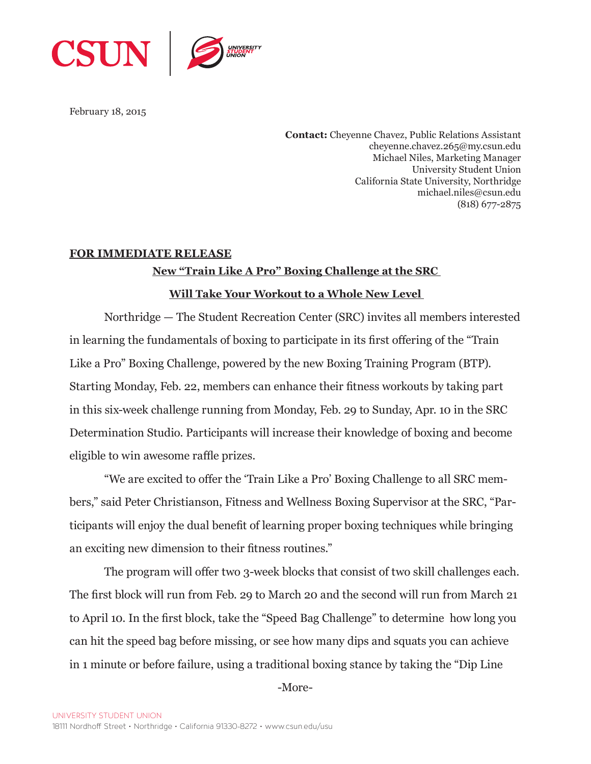

February 18, 2015

**Contact:** Cheyenne Chavez, Public Relations Assistant cheyenne.chavez.265@my.csun.edu Michael Niles, Marketing Manager University Student Union California State University, Northridge michael.niles@csun.edu (818) 677-2875

## **FOR IMMEDIATE RELEASE**

## **New "Train Like A Pro" Boxing Challenge at the SRC**

## **Will Take Your Workout to a Whole New Level**

Northridge — The Student Recreation Center (SRC) invites all members interested in learning the fundamentals of boxing to participate in its first offering of the "Train Like a Pro" Boxing Challenge, powered by the new Boxing Training Program (BTP). Starting Monday, Feb. 22, members can enhance their fitness workouts by taking part in this six-week challenge running from Monday, Feb. 29 to Sunday, Apr. 10 in the SRC Determination Studio. Participants will increase their knowledge of boxing and become eligible to win awesome raffle prizes.

"We are excited to offer the 'Train Like a Pro' Boxing Challenge to all SRC members," said Peter Christianson, Fitness and Wellness Boxing Supervisor at the SRC, "Participants will enjoy the dual benefit of learning proper boxing techniques while bringing an exciting new dimension to their fitness routines."

The program will offer two 3-week blocks that consist of two skill challenges each. The first block will run from Feb. 29 to March 20 and the second will run from March 21 to April 10. In the first block, take the "Speed Bag Challenge" to determine how long you can hit the speed bag before missing, or see how many dips and squats you can achieve in 1 minute or before failure, using a traditional boxing stance by taking the "Dip Line

-More-